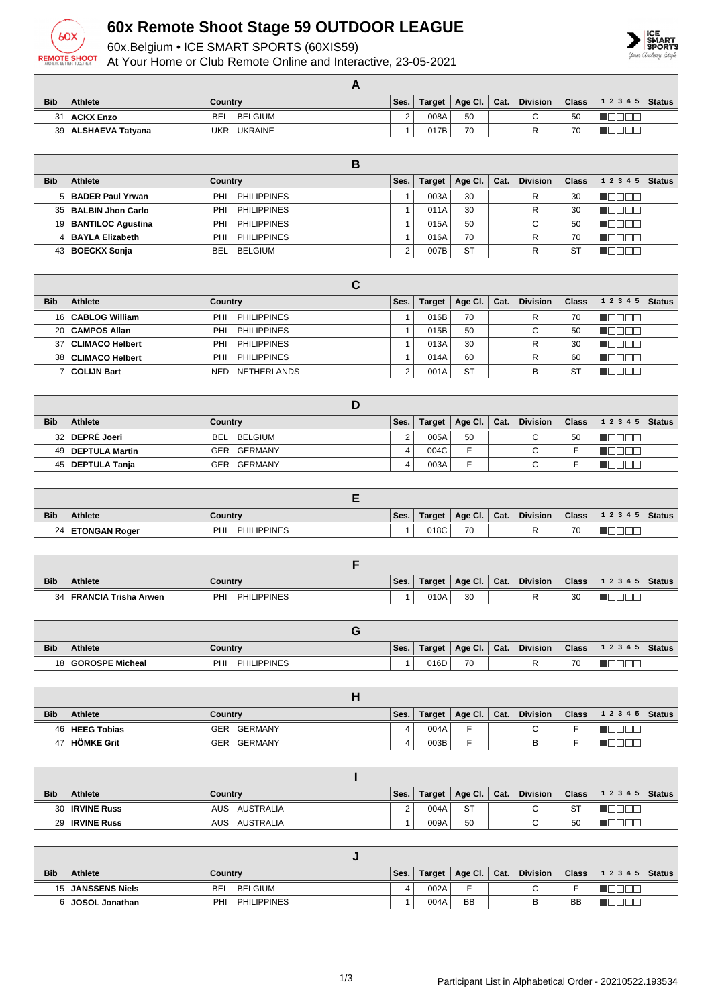

## **60x Remote Shoot Stage 59 OUTDOOR LEAGUE**

60x.Belgium • ICE SMART SPORTS (60XIS59)

At Your Home or Club Remote Online and Interactive, 23-05-2021



| <b>Bib</b> | <b>Athlete</b>        | Country                      | Ses. | Target | Age Cl. $\vert$ Cat. | <b>Division</b> | <b>Class</b> | $12345$ Status |  |
|------------|-----------------------|------------------------------|------|--------|----------------------|-----------------|--------------|----------------|--|
| 31         | <b>ACKX Enzo</b>      | BELGIUM<br><b>BEL</b>        |      | 008A   | 50                   | ⌒               | 50           |                |  |
|            | 39   ALSHAEVA Tatyana | <b>UKR</b><br><b>UKRAINE</b> |      | 017B   | 70                   |                 | 70           |                |  |

| <b>Bib</b> | Athlete                | Country                   | Ses. | <b>Target</b> | Age Cl.   | Cat. | <b>Division</b> | <b>Class</b> | 1 2 3 4 5 | <b>Status</b> |
|------------|------------------------|---------------------------|------|---------------|-----------|------|-----------------|--------------|-----------|---------------|
|            | 5 BADER Paul Yrwan     | <b>PHILIPPINES</b><br>PHI |      | 003A          | 30        |      | R               | 30           |           |               |
|            | 35   BALBIN Jhon Carlo | <b>PHILIPPINES</b><br>PHI |      | 011A          | 30        |      | R               | 30           |           |               |
|            | 19   BANTILOC Agustina | <b>PHILIPPINES</b><br>PHI |      | 015A          | 50        |      | $\sim$<br>v     | 50           |           |               |
|            | 4 BAYLA Elizabeth      | <b>PHILIPPINES</b><br>PHI |      | 016A          | 70        |      | R               | 70           |           |               |
|            | 43   BOECKX Sonja      | <b>BELGIUM</b><br>BEL     |      | 007B          | <b>ST</b> |      |                 | S1           |           |               |

| <b>Bib</b> | <b>Athlete</b>      | Country                   | Ses. | Target | Age Cl. $ $ | Cat. | <b>Division</b> | <b>Class</b> | 12345 | <b>Status</b> |
|------------|---------------------|---------------------------|------|--------|-------------|------|-----------------|--------------|-------|---------------|
|            | 16   CABLOG William | <b>PHILIPPINES</b><br>PHI |      | 016B   | 70          |      | R               | 70           |       |               |
|            | 20 CAMPOS Allan     | <b>PHILIPPINES</b><br>PHI |      | 015B   | 50          |      | $\sim$<br>U     | 50           |       |               |
| 37         | CLIMACO Helbert     | <b>PHILIPPINES</b><br>PHI |      | 013A   | 30          |      | R               | 30           |       |               |
| 38         | CLIMACO Helbert     | <b>PHILIPPINES</b><br>PHI |      | 014A   | 60          |      | R               | 60           |       |               |
|            | <b>COLIJN Bart</b>  | NETHERLANDS<br><b>NED</b> |      | 001A   | <b>ST</b>   |      | B               | S1           |       |               |

| <b>Bib</b> | <b>Athlete</b>      | Country     | Ses. | Target | Age Cl. Cat. | <b>Division</b> | <b>Class</b> | 1 2 3 4 5   Status |  |
|------------|---------------------|-------------|------|--------|--------------|-----------------|--------------|--------------------|--|
|            | 32 DEPRÉ Joeri      | BEL BELGIUM |      | 005A   | 50           | $\sim$<br>◡     | 50           |                    |  |
|            | 49   DEPTULA Martin | GER GERMANY |      | 004C   |              | $\sim$<br>v     |              |                    |  |
|            | 45   DEPTULA Tanja  | GER GERMANY |      | 003A   |              | $\sim$<br>◡     |              |                    |  |

| <b>Bib</b> | <b>Athlete</b>     | Country                   | Ses. | Target | Age Cl. | Cat. | <b>Division</b> | <b>Class</b> | 1 2 3 4 5 | <b>Status</b> |
|------------|--------------------|---------------------------|------|--------|---------|------|-----------------|--------------|-----------|---------------|
|            | 24   ETONGAN Roger | <b>PHILIPPINES</b><br>PHI |      | 018C   | 70      |      |                 | 70           |           |               |

| <b>Bib</b> | <b>Athlete</b>            | Country                           | Ses. | Target | Age Cl. | Cat. | <b>Division</b> | <b>Class</b> | 12345 | <b>Status</b> |
|------------|---------------------------|-----------------------------------|------|--------|---------|------|-----------------|--------------|-------|---------------|
|            | 34   FRANCIA Trisha Arwen | <b>PHILIPPINES</b><br>PHI<br>____ |      | 010A   | 30      |      |                 | 30           |       |               |

| <b>Bib</b> | <b>Athlete</b>     | Country                   | Ses. | <b>Target</b> | Age CI. | Cat. | <b>Division</b> | <b>Class</b> | Status.<br>1 2 3 4 5 |
|------------|--------------------|---------------------------|------|---------------|---------|------|-----------------|--------------|----------------------|
|            | 18 GOROSPE Micheal | <b>PHILIPPINES</b><br>PHI |      | 016D          | 70      |      |                 | 70           |                      |

| <b>Bib</b> | Athlete          | Country     | Ses. | Target | Age Cl. $ $ | Cat. | <b>Division</b> | <b>Class</b> | $12345$ Status |  |
|------------|------------------|-------------|------|--------|-------------|------|-----------------|--------------|----------------|--|
|            | 46   HEEG Tobias | GER GERMANY | 4    | 004A   | -           |      |                 |              |                |  |
|            | 47   HÖMKE Grit  | GER GERMANY |      | 003B   |             |      |                 |              |                |  |

| <b>Bib</b> | <b>Athlete</b>   | Country          | Ses. | <b>Target</b> | Age Cl.   Cat. | <b>Division</b> | <b>Class</b> | 1 2 3 4 5 | <b>Status</b> |
|------------|------------------|------------------|------|---------------|----------------|-----------------|--------------|-----------|---------------|
|            | 30   IRVINE Russ | AUSTRALIA<br>AUS |      | 004A          | <b>ST</b>      | ⌒<br>U          | <b>ST</b>    |           |               |
|            | 29   IRVINE Russ | AUSTRALIA<br>AUS |      | 009A          | 50             | ⌒<br>ັ          | 50           |           |               |

| <b>Bib</b> | <b>Athlete</b>    | Country                          | Ses. | Target | $ $ Age Cl. $ $ Cat. | <b>Division</b> | <b>Class</b> | $12345$ Status |  |
|------------|-------------------|----------------------------------|------|--------|----------------------|-----------------|--------------|----------------|--|
|            | 15 JANSSENS Niels | BELGIUM<br>BEL                   |      | 002A   | -                    | $\sim$          |              |                |  |
|            | 6 JOSOL Jonathan  | <b>PHILIPPINES</b><br><b>PHI</b> |      | 004A   | <b>BB</b>            |                 | BB           |                |  |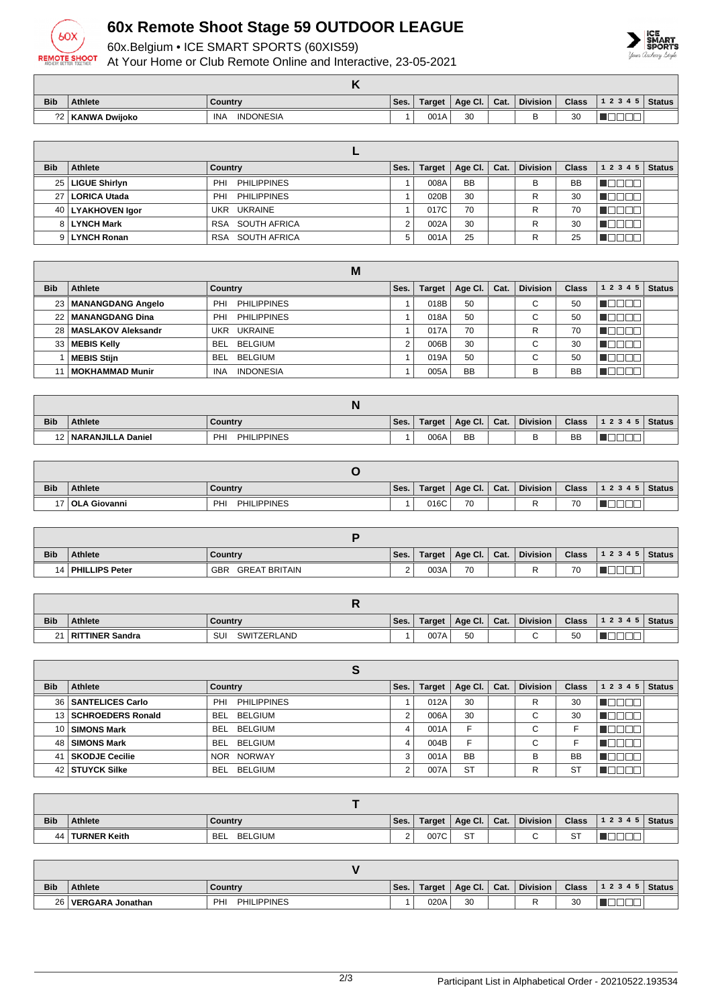

## **60x Remote Shoot Stage 59 OUTDOOR LEAGUE**

60x.Belgium • ICE SMART SPORTS (60XIS59)

At Your Home or Club Remote Online and Interactive, 23-05-2021



| <b>Bib</b> | <b>Athlete</b> | Country                        | Ses. | Target | Age Cl. $\vert$ Cat. | <b>Division</b> | <b>Class</b> | $ 12345 $ Status |
|------------|----------------|--------------------------------|------|--------|----------------------|-----------------|--------------|------------------|
| າາ∣        | KANWA Dwiioko  | <b>INDONESIA</b><br><b>INA</b> |      | 001A   | 30                   | ــ              | 30           |                  |

| <b>Bib</b> | Athlete             | Country                   | Ses. | <b>Target</b> | Age Cl.   | Cat. | <b>Division</b> | <b>Class</b> | 1 2 3 4 5 | <b>Status</b> |
|------------|---------------------|---------------------------|------|---------------|-----------|------|-----------------|--------------|-----------|---------------|
|            | 25   LIGUE Shirlyn  | <b>PHILIPPINES</b><br>PHI |      | 008A          | <b>BB</b> |      | в               | <b>BB</b>    |           |               |
|            | 27   LORICA Utada   | <b>PHILIPPINES</b><br>PHI |      | 020B          | 30        |      | R               | 30           |           |               |
|            | 40   LYAKHOVEN Igor | UKR UKRAINE               |      | 017C          | 70        |      | R               | 70           |           |               |
|            | 8   LYNCH Mark      | SOUTH AFRICA<br>RSA       |      | 002A          | 30        |      | R               | 30           |           |               |
|            | 9 LYNCH Ronan       | SOUTH AFRICA<br>RSA       | 5    | 001A          | 25        |      | R               | 25           |           |               |

|                 | M                       |                                |      |        |                |      |                 |              |           |               |  |  |
|-----------------|-------------------------|--------------------------------|------|--------|----------------|------|-----------------|--------------|-----------|---------------|--|--|
| <b>Bib</b>      | <b>Athlete</b>          | Country                        | Ses. | Target | <b>Age Cl.</b> | Cat. | <b>Division</b> | <b>Class</b> | 1 2 3 4 5 | <b>Status</b> |  |  |
|                 | 23   MANANGDANG Angelo  | PHI<br><b>PHILIPPINES</b>      |      | 018B   | 50             |      | ⌒<br>◡          | 50           |           |               |  |  |
|                 | 22   MANANGDANG Dina    | <b>PHILIPPINES</b><br>PHI      |      | 018A   | 50             |      | ⌒<br>◡          | 50           |           |               |  |  |
|                 | 28   MASLAKOV Aleksandr | UKR UKRAINE                    |      | 017A   | 70             |      | R               | 70           |           |               |  |  |
| 33 <sup>1</sup> | <b>MEBIS Kelly</b>      | BELGIUM<br><b>BEL</b>          | c    | 006B   | 30             |      | $\sim$<br>U     | 30           |           |               |  |  |
|                 | <b>MEBIS Stijn</b>      | <b>BELGIUM</b><br><b>BEL</b>   |      | 019A   | 50             |      | ⌒<br>U          | 50           |           |               |  |  |
|                 | MOKHAMMAD Munir         | <b>INDONESIA</b><br><b>INA</b> |      | 005A   | <b>BB</b>      |      | В               | <b>BB</b>    |           |               |  |  |

| <b>Bib</b> | Athlete                | Country                   | Ses. | Target | Age Cl. $\vert$ Cat. |  | <b>Division</b> | <b>Class</b> | 1 2 3 4 5   Status |  |
|------------|------------------------|---------------------------|------|--------|----------------------|--|-----------------|--------------|--------------------|--|
|            | 12   NARANJILLA Daniel | <b>PHILIPPINES</b><br>PHI |      | 006A   | <b>BB</b>            |  | ◡               | <b>BB</b>    |                    |  |

| <b>Bib</b> | <b>Athlete</b>    | Country                  | Ses. | Target | Age Cl. | Cat. | <b>Division</b> | <b>Class</b> | 1 2 3 4 5 | <b>Status</b> |
|------------|-------------------|--------------------------|------|--------|---------|------|-----------------|--------------|-----------|---------------|
|            | 17   OLA Giovanni | <b>PHILIPPINES</b><br>PH |      | 016C   | 70      |      |                 | 70           |           |               |

| <b>Bib</b> | <b>Athlete</b>      | Country              | Ses. | Target | $\vert$ Age Cl. $\vert$ Cat. |  | <b>Division</b> | <b>Class</b> | 1 2 3 4 5 | <b>Status</b> |
|------------|---------------------|----------------------|------|--------|------------------------------|--|-----------------|--------------|-----------|---------------|
|            | 14   PHILLIPS Peter | GBR<br>GREAT BRITAIN |      | 003A   | 70                           |  |                 | 70           |           |               |

| <b>Bib</b> | <b>Athlete</b>  | Country                  | Ses. | <b>Target</b> | Age CI. | Cat. | <b>Division</b> | <b>Class</b> | 1 2 3 4 5 | Status |
|------------|-----------------|--------------------------|------|---------------|---------|------|-----------------|--------------|-----------|--------|
| $\sim$     | RITTINER Sandra | SU<br><b>SWITZERLAND</b> |      | 007A          | 50      |      |                 | 50<br>ັບບ    | _<br>_    |        |

| <b>Bib</b> | Athlete                | Country               | Ses. | Target | Age Cl.   | Cat. | <b>Division</b> | <b>Class</b> | 1 2 3 4 5 | <b>Status</b> |  |
|------------|------------------------|-----------------------|------|--------|-----------|------|-----------------|--------------|-----------|---------------|--|
|            | 36   SANTELICES Carlo  | PHILIPPINES<br>PHI    |      | 012A   | 30        |      | R               | 30           |           |               |  |
|            | 13   SCHROEDERS Ronald | <b>BEL</b><br>BELGIUM |      | 006A   | 30        |      | $\sim$<br>◡     | 30           | ▌▙▌▙▌▙▌▙  |               |  |
|            | 10 SIMONS Mark         | BEL<br>BELGIUM        | 4    | 001A   | F         |      | $\sim$<br>◡     |              |           |               |  |
|            | 48   SIMONS Mark       | BEL<br>BELGIUM        | 4    | 004B   | F         |      | $\sim$<br>◡     |              |           |               |  |
|            | 41   SKODJE Cecilie    | NOR NORWAY            | 3    | 001A   | <b>BB</b> |      | B               | <b>BB</b>    |           |               |  |
|            | 42   STUYCK Silke      | BELGIUM<br>BEL        |      | 007A   | <b>ST</b> |      | R               | <b>ST</b>    |           |               |  |

| <b>Bib</b> | <b>Athlete</b>    | Country                      | Ses.     | Target | Age Cl.              | Cat. | <b>Division</b> | <b>Class</b> | 1 2 3 4 5 | Status |
|------------|-------------------|------------------------------|----------|--------|----------------------|------|-----------------|--------------|-----------|--------|
|            | 44   TURNER Keith | <b>BELGIUM</b><br><b>BEL</b> | <u>.</u> | 007C   | $\sim$ $\sim$<br>ا ت |      |                 | ST           |           |        |

| <b>Bib</b> | <b>Athlete</b>   | Country                   | Ses. | Target | Age Cl.   Cat. |  | <b>Division</b> | <b>Class</b> | 1 2 3 4 5   Status |  |
|------------|------------------|---------------------------|------|--------|----------------|--|-----------------|--------------|--------------------|--|
| 26         | VERGARA Jonathan | <b>PHILIPPINES</b><br>PHI |      | 020A   | 30             |  |                 | 30           |                    |  |